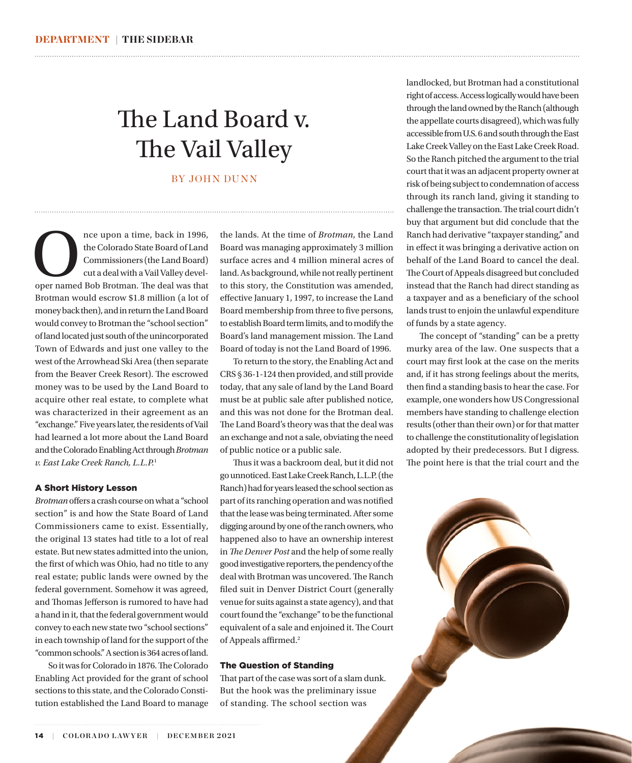## The Land Board v. The Vail Valley

BY JOHN DUNN

nce upon a time, back in 1996,<br>
the Colorado State Board of Land<br>
Commissioners (the Land Board)<br>
cut a deal with a Vail Valley devel-<br>
oper named Bob Brotman. The deal was that the Colorado State Board of Land Commissioners (the Land Board) cut a deal with a Vail Valley devel-Brotman would escrow \$1.8 million (a lot of money back then), and in return the Land Board would convey to Brotman the "school section" of land located just south of the unincorporated Town of Edwards and just one valley to the west of the Arrowhead Ski Area (then separate from the Beaver Creek Resort). The escrowed money was to be used by the Land Board to acquire other real estate, to complete what was characterized in their agreement as an "exchange." Five years later, the residents of Vail had learned a lot more about the Land Board and the Colorado Enabling Act through *Brotman v. East Lake Creek Ranch, L.L.P.*[1](#page-1-0)

#### A Short History Lesson

*Brotman* offers a crash course on what a "school section" is and how the State Board of Land Commissioners came to exist. Essentially, the original 13 states had title to a lot of real estate. But new states admitted into the union, the first of which was Ohio, had no title to any real estate; public lands were owned by the federal government. Somehow it was agreed, and Thomas Jefferson is rumored to have had a hand in it, that the federal government would convey to each new state two "school sections" in each township of land for the support of the "common schools." A section is 364 acres of land.

So it was for Colorado in 1876. The Colorado Enabling Act provided for the grant of school sections to this state, and the Colorado Constitution established the Land Board to manage

the lands. At the time of *Brotman*, the Land Board was managing approximately 3 million surface acres and 4 million mineral acres of land. As background, while not really pertinent to this story, the Constitution was amended, effective January 1, 1997, to increase the Land Board membership from three to five persons, to establish Board term limits, and to modify the Board's land management mission. The Land Board of today is not the Land Board of 1996.

<span id="page-0-0"></span>

To return to the story, the Enabling Act and CRS § 36-1-124 then provided, and still provide today, that any sale of land by the Land Board must be at public sale after published notice, and this was not done for the Brotman deal. The Land Board's theory was that the deal was an exchange and not a sale, obviating the need of public notice or a public sale.

Thus it was a backroom deal, but it did not go unnoticed. East Lake Creek Ranch, L.L.P. (the Ranch) had for years leased the school section as part of its ranching operation and was notified that the lease was being terminated. After some digging around by one of the ranch owners, who happened also to have an ownership interest in *The Denver Post* and the help of some really good investigative reporters, the pendency of the deal with Brotman was uncovered. The Ranch filed suit in Denver District Court (generally venue for suits against a state agency), and that court found the "exchange" to be the functional equivalent of a sale and enjoined it. The Court of Appeals affirmed.<sup>2</sup>

#### The Question of Standing

That part of the case was sort of a slam dunk. But the hook was the preliminary issue of standing. The school section was

landlocked, but Brotman had a constitutional right of access. Access logically would have been through the land owned by the Ranch (although the appellate courts disagreed), which was fully accessible from U.S. 6 and south through the East Lake Creek Valley on the East Lake Creek Road. So the Ranch pitched the argument to the trial court that it was an adjacent property owner at risk of being subject to condemnation of access through its ranch land, giving it standing to challenge the transaction. The trial court didn't buy that argument but did conclude that the Ranch had derivative "taxpayer standing," and in effect it was bringing a derivative action on behalf of the Land Board to cancel the deal. The Court of Appeals disagreed but concluded instead that the Ranch had direct standing as a taxpayer and as a beneficiary of the school lands trust to enjoin the unlawful expenditure of funds by a state agency.

The concept of "standing" can be a pretty murky area of the law. One suspects that a court may first look at the case on the merits and, if it has strong feelings about the merits, then find a standing basis to hear the case. For example, one wonders how US Congressional members have standing to challenge election results (other than their own) or for that matter to challenge the constitutionality of legislation adopted by their predecessors. But I digress. The point here is that the trial court and the

14 **| COLOR A DO L AW Y ER | DECEMBER 2021**